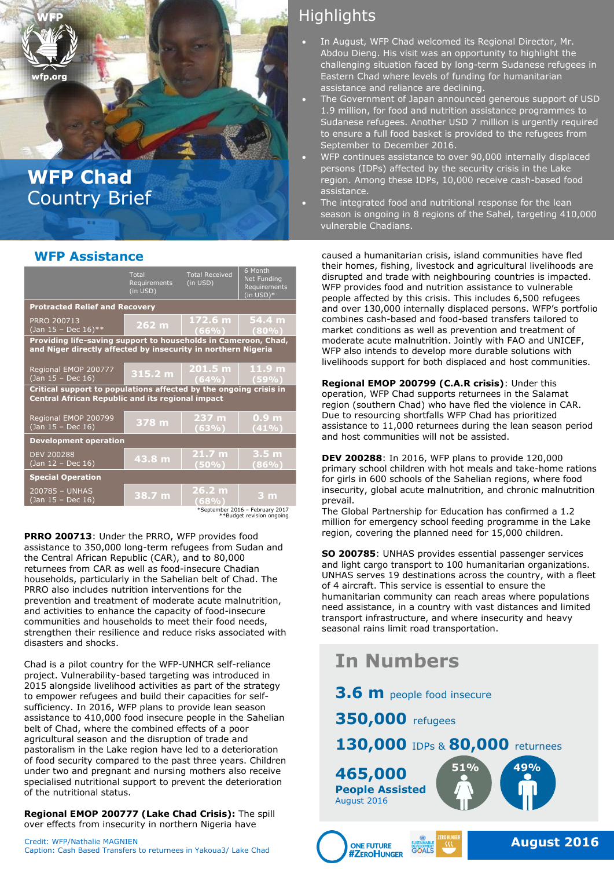# **WFP Chad** Country Brief

fn.ora

|                                                                                                                                 | Total<br>Requirements<br>(in <b>USD</b> ) | <b>Total Received</b><br>(in USD) | 6 Month<br><b>Net Funding</b><br>Requirements<br>(in $USD)*$ |  |
|---------------------------------------------------------------------------------------------------------------------------------|-------------------------------------------|-----------------------------------|--------------------------------------------------------------|--|
| <b>Protracted Relief and Recovery</b>                                                                                           |                                           |                                   |                                                              |  |
| PRRO 200713<br>(Jan 15 - Dec 16)**                                                                                              | 262 <sub>m</sub>                          | 172.6 m<br>(66%)                  | 54.4 m<br>(80%                                               |  |
| Providing life-saving support to households in Cameroon, Chad,<br>and Niger directly affected by insecurity in northern Nigeria |                                           |                                   |                                                              |  |
| Regional EMOP 200777<br>(Jan 15 - Dec 16)                                                                                       | 315.2 m                                   | 201.5 m<br>(64%)                  | 11.9 <sub>m</sub><br>(59%)                                   |  |
| Critical support to populations affected by the ongoing crisis in<br><b>Central African Republic and its regional impact</b>    |                                           |                                   |                                                              |  |
| Regional EMOP 200799<br>(Jan 15 - Dec 16)                                                                                       | 378 m                                     | 237 m<br>(63%)                    | 0.9 <sub>m</sub><br>(41%)                                    |  |
| <b>Development operation</b>                                                                                                    |                                           |                                   |                                                              |  |
| <b>DEV 200288</b><br>(Jan 12 - Dec 16)                                                                                          | 43.8 m                                    | 21.7 <sub>m</sub><br>(50%)        | 3.5 <sub>m</sub><br>$(86\%)$                                 |  |
| <b>Special Operation</b>                                                                                                        |                                           |                                   |                                                              |  |
| 200785 - UNHAS<br>(Jan 15 - Dec 16)                                                                                             | 38.7 m                                    | 26.2 m<br>(68%)                   | 3 m                                                          |  |
| *September 2016 - February 2017                                                                                                 |                                           |                                   |                                                              |  |

\*September 2016 – February 2017 \*\*Budget revision ongoing

**PRRO 200713**: Under the PRRO, WFP provides food assistance to 350,000 long-term refugees from Sudan and the Central African Republic (CAR), and to 80,000 returnees from CAR as well as food-insecure Chadian households, particularly in the Sahelian belt of Chad. The PRRO also includes nutrition interventions for the prevention and treatment of moderate acute malnutrition, and activities to enhance the capacity of food-insecure communities and households to meet their food needs, strengthen their resilience and reduce risks associated with disasters and shocks.

Chad is a pilot country for the WFP-UNHCR self-reliance project. Vulnerability-based targeting was introduced in 2015 alongside livelihood activities as part of the strategy to empower refugees and build their capacities for selfsufficiency. In 2016, WFP plans to provide lean season assistance to 410,000 food insecure people in the Sahelian belt of Chad, where the combined effects of a poor agricultural season and the disruption of trade and pastoralism in the Lake region have led to a deterioration of food security compared to the past three years. Children under two and pregnant and nursing mothers also receive specialised nutritional support to prevent the deterioration of the nutritional status.

**Regional EMOP 200777 (Lake Chad Crisis):** The spill over effects from insecurity in northern Nigeria have

Credit: WFP/Nathalie MAGNIEN Caption: Cash Based Transfers to returnees in Yakoua3/ Lake Chad

## **Highlights**

- In August, WFP Chad welcomed its Regional Director, Mr. Abdou Dieng. His visit was an opportunity to highlight the challenging situation faced by long-term Sudanese refugees in Eastern Chad where levels of funding for humanitarian assistance and reliance are declining.
- The Government of Japan announced generous support of USD 1.9 million, for food and nutrition assistance programmes to Sudanese refugees. Another USD 7 million is urgently required to ensure a full food basket is provided to the refugees from September to December 2016.
- WFP continues assistance to over 90,000 internally displaced persons (IDPs) affected by the security crisis in the Lake region. Among these IDPs, 10,000 receive cash-based food assistance.
- The integrated food and nutritional response for the lean season is ongoing in 8 regions of the Sahel, targeting 410,000 vulnerable Chadians.

**WFP Assistance caused a humanitarian crisis, island communities have fled** their homes, fishing, livestock and agricultural livelihoods are disrupted and trade with neighbouring countries is impacted. WFP provides food and nutrition assistance to vulnerable people affected by this crisis. This includes 6,500 refugees and over 130,000 internally displaced persons. WFP's portfolio combines cash-based and food-based transfers tailored to market conditions as well as prevention and treatment of moderate acute malnutrition. Jointly with FAO and UNICEF, WFP also intends to develop more durable solutions with livelihoods support for both displaced and host communities.

> **Regional EMOP 200799 (C.A.R crisis)**: Under this operation, WFP Chad supports returnees in the Salamat region (southern Chad) who have fled the violence in CAR. Due to resourcing shortfalls WFP Chad has prioritized assistance to 11,000 returnees during the lean season period and host communities will not be assisted.

**DEV 200288**: In 2016, WFP plans to provide 120,000 primary school children with hot meals and take-home rations for girls in 600 schools of the Sahelian regions, where food insecurity, global acute malnutrition, and chronic malnutrition prevail.

The Global Partnership for Education has confirmed a 1.2 million for emergency school feeding programme in the Lake region, covering the planned need for 15,000 children.

**SO 200785**: UNHAS provides essential passenger services and light cargo transport to 100 humanitarian organizations. UNHAS serves 19 destinations across the country, with a fleet of 4 aircraft. This service is essential to ensure the humanitarian community can reach areas where populations need assistance, in a country with vast distances and limited transport infrastructure, and where insecurity and heavy seasonal rains limit road transportation.

## **In Numbers**

**3.6 m** people food insecure

**350,000** refugees

## **130,000** IDPs & **80,000** returnees

**51% 49% 465,000 People Assisted** August 2016